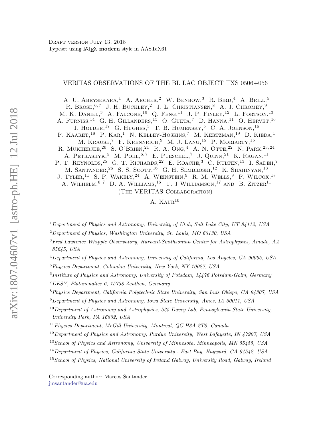# VERITAS OBSERVATIONS OF THE BL LAC OBJECT TXS 0506+056

A. U. ABEYSEKARA,<sup>1</sup> A. ARCHER,<sup>2</sup> W. BENBOW,<sup>3</sup> R. BIRD,<sup>4</sup> A. BRILL,<sup>5</sup> R. BROSE.<sup>6,7</sup> J. H. BUCKLEY,<sup>2</sup> J. L. CHRISTIANSEN,<sup>8</sup> A. J. CHROMEY.<sup>9</sup> M. K. DANIEL<sup>3</sup> A. FALCONE,  $^{10}$  O. FENG,  $^{11}$  J. P. FINLEY,  $^{12}$  L. FORTSON,  $^{13}$ A. FURNISS,  $^{14}$  G. H. GILLANDERS,  $^{15}$  O. GUETA, <sup>7</sup> D. HANNA,  $^{11}$  O. HERVET,  $^{16}$ J. HOLDER,<sup>17</sup> G. HUGHES,<sup>3</sup> T. B. HUMENSKY,<sup>5</sup> C. A. JOHNSON,<sup>16</sup> P. KAARET,<sup>18</sup> P. KAR,<sup>1</sup> N. KELLEY-HOSKINS,<sup>7</sup> M. KERTZMAN,<sup>19</sup> D. KIEDA,<sup>1</sup> M. KRAUSE,<sup>7</sup> F. KRENNRICH,<sup>9</sup> M. J. LANG,<sup>15</sup> P. MORIARTY,<sup>15</sup> R. MUKHERJEE,  $20$  S. O'BRIEN,  $21$  R. A. Ong,  $4$  A. N. Otte,  $22$  N. PARK,  $23, 24$ A. PETRASHYK,<sup>5</sup> M. POHL,<sup>6,7</sup> E. PUESCHEL,<sup>7</sup> J. QUINN,<sup>21</sup> K. RAGAN,<sup>11</sup> P. T. REYNOLDS,<sup>25</sup> G. T. RICHARDS,<sup>22</sup> E. ROACHE,<sup>3</sup> C. RULTEN,<sup>13</sup> I. SADEH,<sup>7</sup> M. SANTANDER, <sup>26</sup> S. S. SCOTT, <sup>16</sup> G. H. SEMBROSKI,<sup>12</sup> K. SHAHINYAN,<sup>13</sup> J. TYLER, <sup>11</sup> S. P. WAKELY, <sup>24</sup> A. WEINSTEIN, <sup>9</sup> R. M. WELLS, <sup>9</sup> P. WILCOX, <sup>18</sup> A. WILHELM,  $6, 7$  D. A. WILLIAMS,  $16$  T. J WILLIAMSON,  $17$  AND B. ZITZER $11$ (The VERITAS Collaboration)

### A.  $KAUR^{10}$

<sup>1</sup>Department of Physics and Astronomy, University of Utah, Salt Lake City, UT 84112, USA

 $2$ Department of Physics, Washington University, St. Louis, MO 63130, USA

<sup>3</sup>Fred Lawrence Whipple Observatory, Harvard-Smithsonian Center for Astrophysics, Amado, AZ 85645, USA

<sup>4</sup>Department of Physics and Astronomy, University of California, Los Angeles, CA 90095, USA

<sup>5</sup>Physics Department, Columbia University, New York, NY 10027, USA

<sup>6</sup>Institute of Physics and Astronomy, University of Potsdam, 14476 Potsdam-Golm, Germany

<sup>7</sup>DESY, Platanenallee 6, 15738 Zeuthen, Germany

<sup>8</sup>Physics Department, California Polytechnic State University, San Luis Obispo, CA 94307, USA

 $9$ Department of Physics and Astronomy, Iowa State University, Ames, IA 50011, USA

 $10$  Department of Astronomy and Astrophysics, 525 Davey Lab, Pennsylvania State University, University Park, PA 16802, USA

 $11$ Physics Department, McGill University, Montreal, QC H3A 2T8, Canada

 $12$  Department of Physics and Astronomy, Purdue University, West Lafayette, IN 47907, USA

<sup>13</sup> School of Physics and Astronomy, University of Minnesota, Minneapolis, MN 55455, USA

<span id="page-0-1"></span><span id="page-0-0"></span>Corresponding author: Marcos Santander [jmsantander@ua.edu](mailto: jmsantander@ua.edu)

<sup>14</sup>Department of Physics, California State University - East Bay, Hayward, CA 94542, USA

<sup>&</sup>lt;sup>15</sup> School of Physics, National University of Ireland Galway, University Road, Galway, Ireland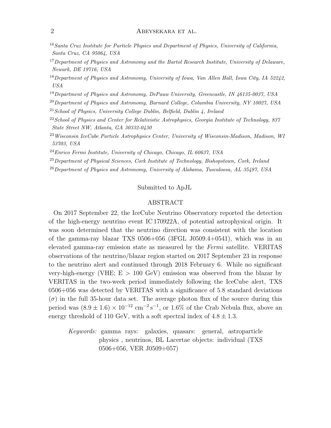# 2 ABEYSEKARA ET AL.

- <sup>16</sup> Santa Cruz Institute for Particle Physics and Department of Physics, University of California, Santa Cruz, CA 95064, USA
- <sup>17</sup> Department of Physics and Astronomy and the Bartol Research Institute, University of Delaware, Newark, DE 19716, USA
- $18$  Department of Physics and Astronomy, University of Iowa, Van Allen Hall, Iowa City, IA 52242, USA
- <sup>19</sup>Department of Physics and Astronomy, DePauw University, Greencastle, IN 46135-0037, USA
- $^{20}$ Department of Physics and Astronomy, Barnard College, Columbia University, NY 10027, USA
- $21$  School of Physics, University College Dublin, Belfield, Dublin 4, Ireland
- $22$  School of Physics and Center for Relativistic Astrophysics, Georgia Institute of Technology, 837 State Street NW, Atlanta, GA 30332-0430
- <sup>23</sup>Wisconsin IceCube Particle Astrophysics Center, University of Wisconsin-Madison, Madison, WI 53703, USA
- $^{24}Enrico$  Fermi Institute, University of Chicago, Chicago, IL 60637, USA

 $^{25}$ Department of Physical Sciences, Cork Institute of Technology, Bishopstown, Cork, Ireland

 $^{26}$ Department of Physics and Astronomy, University of Alabama, Tuscaloosa, AL 35487, USA

# Submitted to ApJL

# ABSTRACT

On 2017 September 22, the IceCube Neutrino Observatory reported the detection of the high-energy neutrino event IC 170922A, of potential astrophysical origin. It was soon determined that the neutrino direction was consistent with the location of the gamma-ray blazar TXS 0506+056 (3FGL J0509.4+0541), which was in an elevated gamma-ray emission state as measured by the Fermi satellite. VERITAS observations of the neutrino/blazar region started on 2017 September 23 in response to the neutrino alert and continued through 2018 February 6. While no significant very-high-energy (VHE;  $E > 100 \text{ GeV}$ ) emission was observed from the blazar by VERITAS in the two-week period immediately following the IceCube alert, TXS 0506+056 was detected by VERITAS with a significance of 5.8 standard deviations  $(\sigma)$  in the full 35-hour data set. The average photon flux of the source during this period was  $(8.9 \pm 1.6) \times 10^{-12}$  cm<sup>-2</sup>s<sup>-1</sup>, or 1.6% of the Crab Nebula flux, above an energy threshold of 110 GeV, with a soft spectral index of  $4.8 \pm 1.3$ .

Keywords: gamma rays: galaxies, quasars: general, astroparticle physics , neutrinos, BL Lacertae objects: individual (TXS 0506+056, VER J0509+057)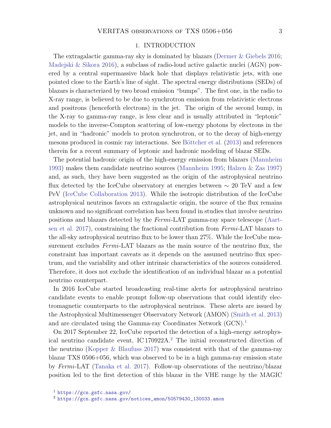#### 1. INTRODUCTION

The extragalactic gamma-ray sky is dominated by blazars [\(Dermer & Giebels](#page-10-0) [2016;](#page-10-0) [Madejski & Sikora](#page-11-0) [2016\)](#page-11-0), a subclass of radio-loud active galactic nuclei (AGN) powered by a central supermassive black hole that displays relativistic jets, with one pointed close to the Earth's line of sight. The spectral energy distributions (SEDs) of blazars is characterized by two broad emission "bumps". The first one, in the radio to X-ray range, is believed to be due to synchrotron emission from relativistic electrons and positrons (henceforth electrons) in the jet. The origin of the second bump, in the X-ray to gamma-ray range, is less clear and is usually attributed in "leptonic" models to the inverse-Compton scattering of low-energy photons by electrons in the jet, and in "hadronic" models to proton synchrotron, or to the decay of high-energy mesons produced in cosmic ray interactions. See Böttcher et al. [\(2013\)](#page-10-1) and references therein for a recent summary of leptonic and hadronic modeling of blazar SEDs.

The potential hadronic origin of the high-energy emission from blazars [\(Mannheim](#page-11-1) [1993\)](#page-11-1) makes them candidate neutrino sources [\(Mannheim](#page-11-2) [1995;](#page-11-2) [Halzen & Zas](#page-11-3) [1997\)](#page-11-3) and, as such, they have been suggested as the origin of the astrophysical neutrino flux detected by the IceCube observatory at energies between  $\sim 20$  TeV and a few PeV [\(IceCube Collaboration](#page-11-4) [2013\)](#page-11-4). While the isotropic distribution of the IceCube astrophysical neutrinos favors an extragalactic origin, the source of the flux remains unknown and no significant correlation has been found in studies that involve neutrino positions and blazars detected by the Fermi-LAT gamma-ray space telescope [\(Aart](#page-10-2)[sen et al.](#page-10-2) [2017\)](#page-10-2), constraining the fractional contribution from Fermi-LAT blazars to the all-sky astrophysical neutrino flux to be lower than 27%. While the IceCube measurement excludes *Fermi*-LAT blazars as the main source of the neutrino flux, the constraint has important caveats as it depends on the assumed neutrino flux spectrum, and the variability and other intrinsic characteristics of the sources considered. Therefore, it does not exclude the identification of an individual blazar as a potential neutrino counterpart.

In 2016 IceCube started broadcasting real-time alerts for astrophysical neutrino candidate events to enable prompt follow-up observations that could identify electromagnetic counterparts to the astrophysical neutrinos. These alerts are issued by the Astrophysical Multimessenger Observatory Network (AMON) [\(Smith et al.](#page-11-5) [2013\)](#page-11-5) and are circulated using the Gamma-ray Coordinates Network (GCN).<sup>[1](#page-2-0)</sup>

On 2017 September 22, IceCube reported the detection of a high-energy astrophysical neutrino candidate event, IC 170922A.[2](#page-2-1) The initial reconstructed direction of the neutrino [\(Kopper & Blaufuss](#page-11-6) [2017\)](#page-11-6) was consistent with that of the gamma-ray blazar TXS 0506+056, which was observed to be in a high gamma-ray emission state by Fermi-LAT [\(Tanaka et al.](#page-11-7) [2017\)](#page-11-7). Follow-up observations of the neutrino/blazar position led to the first detection of this blazar in the VHE range by the MAGIC

<span id="page-2-0"></span><sup>1</sup> <https://gcn.gsfc.nasa.gov/>

<span id="page-2-1"></span><sup>2</sup> [https://gcn.gsfc.nasa.gov/notices\\_amon/50579430\\_130033.amon](https://gcn.gsfc.nasa.gov/notices_amon/50579430_130033.amon)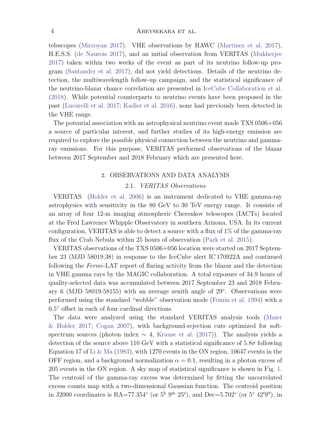#### 4 ABEYSEKARA ET AL.

telescopes [\(Mirzoyan](#page-11-8) [2017\)](#page-11-8). VHE observations by HAWC [\(Martinez et al.](#page-11-9) [2017\)](#page-11-9), H.E.S.S. [\(de Naurois](#page-10-3) [2017\)](#page-10-3), and an initial observation from VERITAS [\(Mukherjee](#page-11-10) [2017\)](#page-11-10) taken within two weeks of the event as part of its neutrino follow-up program [\(Santander et al.](#page-11-11) [2017\)](#page-11-11), did not yield detections. Details of the neutrino detection, the multiwavelength follow-up campaign, and the statistical significance of the neutrino-blazar chance correlation are presented in [IceCube Collaboration et al.](#page-11-12) [\(2018\)](#page-11-12). While potential counterparts to neutrino events have been proposed in the past [\(Lucarelli et al.](#page-11-13) [2017;](#page-11-13) [Kadler et al.](#page-11-14) [2016\)](#page-11-14), none had previously been detected in the VHE range.

The potential association with an astrophysical neutrino event made TXS 0506+056 a source of particular interest, and further studies of its high-energy emission are required to explore the possible physical connection between the neutrino and gammaray emissions. For this purpose, VERITAS performed observations of the blazar between 2017 September and 2018 February which are presented here.

# 2. OBSERVATIONS AND DATA ANALYSIS

# 2.1. VERITAS Observations

<span id="page-3-0"></span>VERITAS [\(Holder et al.](#page-11-15) [2006\)](#page-11-15) is an instrument dedicated to VHE gamma-ray astrophysics with sensitivity in the 80 GeV to 30 TeV energy range. It consists of an array of four 12-m imaging atmospheric Cherenkov telescopes (IACTs) located at the Fred Lawrence Whipple Observatory in southern Arizona, USA. In its current configuration, VERITAS is able to detect a source with a flux of 1% of the gamma-ray flux of the Crab Nebula within 25 hours of observation [\(Park et al.](#page-11-16) [2015\)](#page-11-16).

VERITAS observations of the TXS 0506+056 location were started on 2017 September 23 (MJD 58019.38) in response to the IceCube alert IC 170922A and continued following the Fermi-LAT report of flaring activity from the blazar and the detection in VHE gamma rays by the MAGIC collaboration. A total exposure of 34.9 hours of quality-selected data was accumulated between 2017 September 23 and 2018 February 6 (MJD 58019-58155) with an average zenith angle of 29◦ . Observations were performed using the standard "wobble" observation mode [\(Fomin et al.](#page-10-4) [1994\)](#page-10-4) with a 0.5 ◦ offset in each of four cardinal directions.

The data were analyzed using the standard VERITAS analysis tools [\(Maier](#page-11-17) [& Holder](#page-11-17) [2017;](#page-11-17) [Cogan](#page-10-5) [2007\)](#page-10-5), with background-rejection cuts optimized for softspectrum sources (photon index  $\sim 4$ , [Krause et al.](#page-11-18) [\(2017\)](#page-11-18)). The analysis yields a detection of the source above 110 GeV with a statistical significance of  $5.8\sigma$  following Equation 17 of [Li & Ma](#page-11-19) [\(1983\)](#page-11-19), with 1270 events in the ON region, 10647 events in the OFF region, and a background normalization  $\alpha = 0.1$ , resulting in a photon excess of 205 events in the ON region. A sky map of statistical significance is shown in Fig. [1.](#page-5-0) The centroid of the gamma-ray excess was determined by fitting the uncorrelated excess counts map with a two-dimensional Gaussian function. The centroid position in J2000 coordinates is RA=77.354 $\textdegree$  (or 5<sup>h</sup> 9<sup>m</sup> 25<sup>s</sup>), and Dec=5.702 $\textdegree$  (or 5<sup>o</sup> 42'9"), in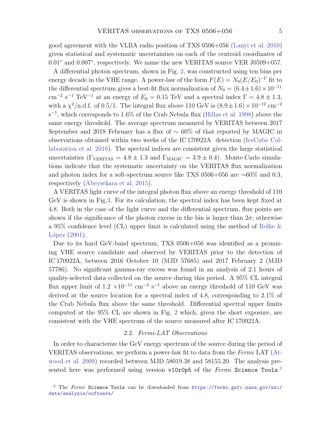good agreement with the VLBA radio position of TXS 0506+056 [\(Lanyi et al.](#page-11-20) [2010\)](#page-11-20) given statistical and systematic uncertainties on each of the centroid coordinates of 0.01<sup>°</sup> and 0.007<sup>°</sup>, respectively. We name the new VERITAS source VER J0509+057.

A differential photon spectrum, shown in Fig. [2,](#page-6-0) was constructed using ten bins per energy decade in the VHE range. A power-law of the form  $F(E) = N_0 (E/E_0)^{-\Gamma}$  fit to the differential spectrum gives a best-fit flux normalization of  $N_0 = (6.4 \pm 1.6) \times 10^{-11}$ cm<sup>-2</sup> s<sup>-1</sup> TeV<sup>-1</sup> at an energy of  $E_0 = 0.15$  TeV and a spectral index  $\Gamma = 4.8 \pm 1.3$ , with a  $\chi^2/\text{n.d.f.}$  of 0.5/1. The integral flux above 110 GeV is  $(8.9 \pm 1.6) \times 10^{-12}$  cm<sup>-2</sup>  $s^{-1}$ , which corresponds to 1.6% of the Crab Nebula flux [\(Hillas et al.](#page-11-21) [1998\)](#page-11-21) above the same energy threshold. The average spectrum measured by VERITAS between 2017 September and 2018 February has a flux of ∼ 60% of that reported by MAGIC in observations obtained within two weeks of the IC 170922A detection [\(IceCube Col](#page-11-12)[laboration et al.](#page-11-12) [2018\)](#page-11-12). The spectral indices are consistent given the large statistical uncertainties ( $\Gamma_{\text{VERITAS}} = 4.8 \pm 1.3$  and  $\Gamma_{\text{MAGIC}} = 3.9 \pm 0.4$ ). Monte-Carlo simulations indicate that the systematic uncertainty on the VERITAS flux normalization and photon index for a soft-spectrum source like TXS 0506+056 are ∼60% and 0.3, respectively [\(Abeysekara et al.](#page-10-6) [2015\)](#page-10-6).

A VERITAS light curve of the integral photon flux above an energy threshold of 110 GeV is shown in Fig[.3.](#page-7-0) For its calculation, the spectral index has been kept fixed at 4.8. Both in the case of the light curve and the differential spectrum, flux points are shown if the significance of the photon excess in the bin is larger than  $2\sigma$ ; otherwise a 95% confidence level (CL) upper limit is calculated using the method of [Rolke &](#page-11-22) López  $(2001)$ .

Due to its hard GeV-band spectrum, TXS 0506+056 was identified as a promising VHE source candidate and observed by VERITAS prior to the detection of IC 170922A, between 2016 October 10 (MJD 57685) and 2017 February 2 (MJD 57786). No significant gamma-ray excess was found in an analysis of 2.1 hours of quality-selected data collected on the source during this period. A 95% CL integral flux upper limit of  $1.2 \times 10^{-11}$  cm<sup>-2</sup> s<sup>-1</sup> above an energy threshold of 110 GeV was derived at the source location for a spectral index of 4.8, corresponding to 2.1% of the Crab Nebula flux above the same threshold. Differential spectral upper limits computed at the 95% CL are shown in Fig. [2](#page-6-0) which, given the short exposure, are consistent with the VHE spectrum of the source measured after IC 170922A.

# 2.2. Fermi-LAT Observations

<span id="page-4-1"></span>In order to characterize the GeV energy spectrum of the source during the period of VERITAS observations, we perform a power-law fit to data from the Fermi LAT [\(At](#page-10-7)[wood et al.](#page-10-7) [2009\)](#page-10-7) recorded between MJD 58019.38 and 58155.20. The analysis presented here was performed using version  $v10r0p5$  of the  $Fermi$  Science Tools.<sup>[3](#page-4-0)</sup>

<span id="page-4-0"></span><sup>3</sup> The Fermi Science Tools can be downloaded from [https://fermi.gsfc.nasa.gov/ssc/](https://fermi.gsfc.nasa.gov/ssc/data/analysis/software/) [data/analysis/software/](https://fermi.gsfc.nasa.gov/ssc/data/analysis/software/)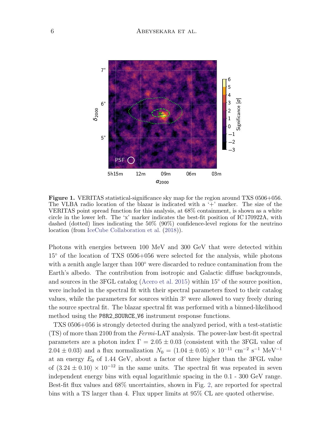

<span id="page-5-0"></span>Figure 1. VERITAS statistical-significance sky map for the region around TXS 0506+056. The VLBA radio location of the blazar is indicated with a  $+$  marker. The size of the VERITAS point spread function for this analysis, at 68% containment, is shown as a white circle in the lower left. The 'x' marker indicates the best-fit position of IC 170922A, with dashed (dotted) lines indicating the 50% (90%) confidence-level regions for the neutrino location (from [IceCube Collaboration et al.](#page-11-12) [\(2018\)](#page-11-12)).

Photons with energies between 100 MeV and 300 GeV that were detected within 15◦ of the location of TXS 0506+056 were selected for the analysis, while photons with a zenith angle larger than 100 $^{\circ}$  were discarded to reduce contamination from the Earth's albedo. The contribution from isotropic and Galactic diffuse backgrounds, and sources in the 3FGL catalog [\(Acero et al.](#page-10-8) [2015\)](#page-10-8) within 15◦ of the source position, were included in the spectral fit with their spectral parameters fixed to their catalog values, while the parameters for sources within 3◦ were allowed to vary freely during the source spectral fit. The blazar spectral fit was performed with a binned-likelihood method using the P8R2 SOURCE V6 instrument response functions.

TXS 0506+056 is strongly detected during the analyzed period, with a test-statistic (TS) of more than 2100 from the Fermi-LAT analysis. The power-law best-fit spectral parameters are a photon index  $\Gamma = 2.05 \pm 0.03$  (consistent with the 3FGL value of  $2.04 \pm 0.03$ ) and a flux normalization  $N_0 = (1.04 \pm 0.05) \times 10^{-11}$  cm<sup>-2</sup> s<sup>-1</sup> MeV<sup>-1</sup> at an energy  $E_0$  of 1.44 GeV, about a factor of three higher than the 3FGL value of  $(3.24 \pm 0.10) \times 10^{-12}$  in the same units. The spectral fit was repeated in seven independent energy bins with equal logarithmic spacing in the 0.1 - 300 GeV range. Best-fit flux values and 68% uncertainties, shown in Fig. [2,](#page-6-0) are reported for spectral bins with a TS larger than 4. Flux upper limits at 95% CL are quoted otherwise.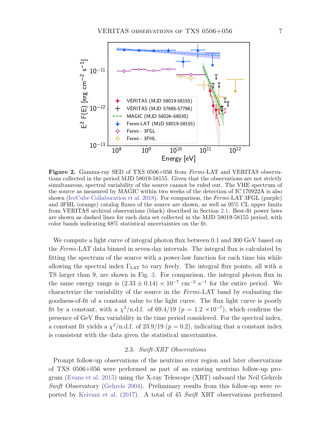

<span id="page-6-0"></span>Figure 2. Gamma-ray SED of TXS 0506+056 from Fermi-LAT and VERITAS observations collected in the period MJD 58019-58155. Given that the observations are not strictly simultaneous, spectral variability of the source cannot be ruled out. The VHE spectrum of the source as measured by MAGIC within two weeks of the detection of IC 170922A is also shown [\(IceCube Collaboration et al.](#page-11-12) [2018\)](#page-11-12). For comparison, the  $Fermi$ -LAT 3FGL (purple) and 3FHL (orange) catalog fluxes of the source are shown, as well as 95% CL upper limits from VERITAS archival observations (black) described in Section [2.1.](#page-3-0) Best-fit power laws are shown as dashed lines for each data set collected in the MJD 58019-58155 period, with color bands indicating 68% statistical uncertainties on the fit.

We compute a light curve of integral photon flux between 0.1 and 300 GeV based on the Fermi-LAT data binned in seven-day intervals. The integral flux is calculated by fitting the spectrum of the source with a power-law function for each time bin while allowing the spectral index  $\Gamma_{\text{LAT}}$  to vary freely. The integral flux points, all with a TS larger than 9, are shown in Fig. [3.](#page-7-0) For comparison, the integral photon flux in the same energy range is  $(2.33 \pm 0.14) \times 10^{-7}$  cm<sup>-2</sup> s<sup>-1</sup> for the entire period. We characterize the variability of the source in the Fermi-LAT band by evaluating the goodness-of-fit of a constant value to the light curve. The flux light curve is poorly fit by a constant, with a  $\chi^2/\text{n.d.f.}$  of 69.4/19 ( $p = 1.2 \times 10^{-7}$ ), which confirms the presence of GeV flux variability in the time period considered. For the spectral index, a constant fit yields a  $\chi^2/\text{n.d.f.}$  of 23.9/19 ( $p = 0.2$ ), indicating that a constant index is consistent with the data given the statistical uncertainties.

#### 2.3. Swift-XRT Observations

Prompt follow-up observations of the neutrino error region and later observations of TXS 0506+056 were performed as part of an existing neutrino follow-up program [\(Evans et al.](#page-10-9) [2015\)](#page-10-9) using the X-ray Telescope (XRT) onboard the Neil Gehrels Swift Observatory [\(Gehrels](#page-11-23) [2004\)](#page-11-23). Preliminary results from this follow-up were reported by [Keivani et al.](#page-11-24) [\(2017\)](#page-11-24). A total of 45 Swift XRT observations performed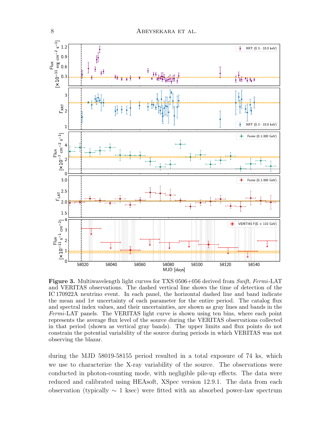

<span id="page-7-0"></span>**Figure 3.** Multiwavelength light curves for TXS 0506+056 derived from Swift, Fermi-LAT and VERITAS observations. The dashed vertical line shows the time of detection of the IC 170922A neutrino event. In each panel, the horizontal dashed line and band indicate the mean and  $1\sigma$  uncertainty of each parameter for the entire period. The catalog flux and spectral index values, and their uncertainties, are shown as gray lines and bands in the Fermi-LAT panels. The VERITAS light curve is shown using ten bins, where each point represents the average flux level of the source during the VERITAS observations collected in that period (shown as vertical gray bands). The upper limits and flux points do not constrain the potential variability of the source during periods in which VERITAS was not observing the blazar.

during the MJD 58019-58155 period resulted in a total exposure of 74 ks, which we use to characterize the X-ray variability of the source. The observations were conducted in photon-counting mode, with negligible pile-up effects. The data were reduced and calibrated using HEAsoft, XSpec version 12.9.1. The data from each observation (typically  $\sim 1$  ksec) were fitted with an absorbed power-law spectrum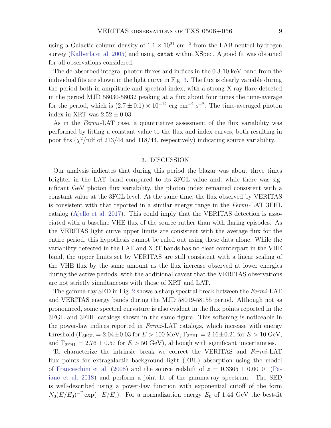using a Galactic column density of  $1.1 \times 10^{21}$  cm<sup>-2</sup> from the LAB neutral hydrogen survey [\(Kalberla et al.](#page-11-25) [2005\)](#page-11-25) and using cstat within XSpec. A good fit was obtained for all observations considered.

The de-absorbed integral photon fluxes and indices in the 0.3-10 keV band from the individual fits are shown in the light curve in Fig. [3.](#page-7-0) The flux is clearly variable during the period both in amplitude and spectral index, with a strong X-ray flare detected in the period MJD 58030-58032 peaking at a flux about four times the time-average for the period, which is  $(2.7 \pm 0.1) \times 10^{-12}$  erg cm<sup>-2</sup> s<sup>-2</sup>. The time-averaged photon index in XRT was  $2.52 \pm 0.03$ .

As in the Fermi-LAT case, a quantitative assessment of the flux variability was performed by fitting a constant value to the flux and index curves, both resulting in poor fits  $(\chi^2)$  ndf of 213/44 and 118/44, respectively) indicating source variability.

### 3. DISCUSSION

Our analysis indicates that during this period the blazar was about three times brighter in the LAT band compared to its 3FGL value and, while there was significant GeV photon flux variability, the photon index remained consistent with a constant value at the 3FGL level. At the same time, the flux observed by VERITAS is consistent with that reported in a similar energy range in the Fermi-LAT 3FHL catalog [\(Ajello et al.](#page-10-10) [2017\)](#page-10-10). This could imply that the VERITAS detection is associated with a baseline VHE flux of the source rather than with flaring episodes. As the VERITAS light curve upper limits are consistent with the average flux for the entire period, this hypothesis cannot be ruled out using these data alone. While the variability detected in the LAT and XRT bands has no clear counterpart in the VHE band, the upper limits set by VERITAS are still consistent with a linear scaling of the VHE flux by the same amount as the flux increase observed at lower energies during the active periods, with the additional caveat that the VERITAS observations are not strictly simultaneous with those of XRT and LAT.

The gamma-ray SED in Fig. [2](#page-6-0) shows a sharp spectral break between the Fermi-LAT and VERITAS energy bands during the MJD 58019-58155 period. Although not as pronounced, some spectral curvature is also evident in the flux points reported in the 3FGL and 3FHL catalogs shown in the same figure. This softening is noticeable in the power-law indices reported in Fermi-LAT catalogs, which increase with energy threshold  $(\Gamma_{3FGL} = 2.04 \pm 0.03$  for  $E > 100$  MeV,  $\Gamma_{3FHL} = 2.16 \pm 0.21$  for  $E > 10$  GeV, and  $\Gamma_{2FHL} = 2.76 \pm 0.57$  for  $E > 50$  GeV), although with significant uncertainties.

To characterize the intrinsic break we correct the VERITAS and Fermi-LAT flux points for extragalactic background light (EBL) absorption using the model of [Franceschini et al.](#page-10-11) [\(2008\)](#page-10-11) and the source redshift of  $z = 0.3365 \pm 0.0010$  [\(Pa](#page-11-26)[iano et al.](#page-11-26) [2018\)](#page-11-26) and perform a joint fit of the gamma-ray spectrum. The SED is well-described using a power-law function with exponential cutoff of the form  $N_0(E/E_0)^{-\Gamma} \exp(-E/E_c)$ . For a normalization energy  $E_0$  of 1.44 GeV the best-fit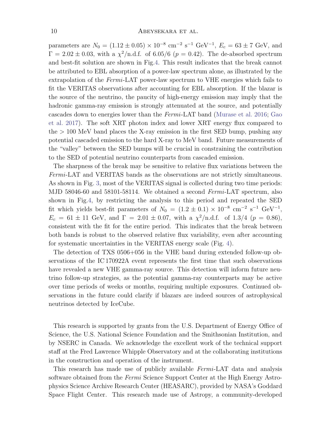parameters are  $N_0 = (1.12 \pm 0.05) \times 10^{-8}$  cm<sup>-2</sup> s<sup>-1</sup> GeV<sup>-1</sup>,  $E_c = 63 \pm 7$  GeV, and  $\Gamma = 2.02 \pm 0.03$ , with a  $\chi^2/\text{n.d.f.}$  of 6.05/6 ( $p = 0.42$ ). The de-absorbed spectrum and best-fit solution are shown in Fig[.4.](#page-10-12) This result indicates that the break cannot be attributed to EBL absorption of a power-law spectrum alone, as illustrated by the extrapolation of the Fermi-LAT power-law spectrum to VHE energies which fails to fit the VERITAS observations after accounting for EBL absorption. If the blazar is the source of the neutrino, the paucity of high-energy emission may imply that the hadronic gamma-ray emission is strongly attenuated at the source, and potentially cascades down to energies lower than the Fermi-LAT band [\(Murase et al.](#page-11-27) [2016;](#page-11-27) [Gao](#page-11-28) [et al.](#page-11-28) [2017\)](#page-11-28). The soft XRT photon index and lower XRT energy flux compared to the > 100 MeV band places the X-ray emission in the first SED bump, pushing any potential cascaded emission to the hard X-ray to MeV band. Future measurements of the "valley" between the SED bumps will be crucial in constraining the contribution to the SED of potential neutrino counterparts from cascaded emission.

The sharpness of the break may be sensitive to relative flux variations between the Fermi-LAT and VERITAS bands as the observations are not strictly simultaneous. As shown in Fig. [3,](#page-7-0) most of the VERITAS signal is collected during two time periods: MJD 58046-60 and 58101-58114. We obtained a second *Fermi*-LAT spectrum, also shown in Fig[.4,](#page-10-12) by restricting the analysis to this period and repeated the SED fit which yields best-fit parameters of  $N_0 = (1.2 \pm 0.1) \times 10^{-8}$  cm<sup>-2</sup> s<sup>-1</sup> GeV<sup>-1</sup>,  $E_c = 61 \pm 11$  GeV, and  $\Gamma = 2.01 \pm 0.07$ , with a  $\chi^2/\text{n.d.f.}$  of 1.3/4 ( $p = 0.86$ ), consistent with the fit for the entire period. This indicates that the break between both bands is robust to the observed relative flux variability, even after accounting for systematic uncertainties in the VERITAS energy scale (Fig. [4\)](#page-10-12).

The detection of TXS 0506+056 in the VHE band during extended follow-up observations of the IC 170922A event represents the first time that such observations have revealed a new VHE gamma-ray source. This detection will inform future neutrino follow-up strategies, as the potential gamma-ray counterparts may be active over time periods of weeks or months, requiring multiple exposures. Continued observations in the future could clarify if blazars are indeed sources of astrophysical neutrinos detected by IceCube.

This research is supported by grants from the U.S. Department of Energy Office of Science, the U.S. National Science Foundation and the Smithsonian Institution, and by NSERC in Canada. We acknowledge the excellent work of the technical support staff at the Fred Lawrence Whipple Observatory and at the collaborating institutions in the construction and operation of the instrument.

This research has made use of publicly available Fermi-LAT data and analysis software obtained from the Fermi Science Support Center at the High Energy Astrophysics Science Archive Research Center (HEASARC), provided by NASA's Goddard Space Flight Center. This research made use of Astropy, a community-developed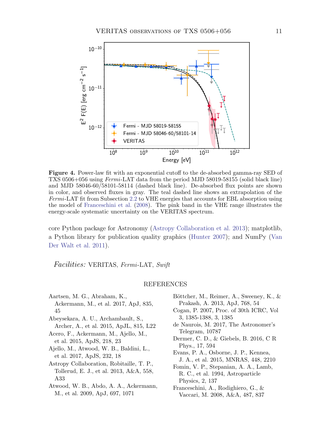

<span id="page-10-12"></span>Figure 4. Power-law fit with an exponential cutoff to the de-absorbed gamma-ray SED of TXS 0506+056 using Fermi-LAT data from the period MJD 58019-58155 (solid black line) and MJD 58046-60/58101-58114 (dashed black line). De-absorbed flux points are shown in color, and observed fluxes in gray. The teal dashed line shows an extrapolation of the Fermi-LAT fit from Subsection [2.2](#page-4-1) to VHE energies that accounts for EBL absorption using the model of [Franceschini et al.](#page-10-11) [\(2008\)](#page-10-11). The pink band in the VHE range illustrates the energy-scale systematic uncertainty on the VERITAS spectrum.

core Python package for Astronomy [\(Astropy Collaboration et al.](#page-10-13) [2013\)](#page-10-13); matplotlib, a Python library for publication quality graphics [\(Hunter](#page-11-29) [2007\)](#page-11-29); and NumPy [\(Van](#page-11-30) [Der Walt et al.](#page-11-30) [2011\)](#page-11-30).

Facilities: VERITAS, Fermi-LAT, Swift

#### REFERENCES

- <span id="page-10-2"></span>Aartsen, M. G., Abraham, K., Ackermann, M., et al. 2017, ApJ, 835, 45
- <span id="page-10-6"></span>Abeysekara, A. U., Archambault, S., Archer, A., et al. 2015, ApJL, 815, L22

<span id="page-10-8"></span>Acero, F., Ackermann, M., Ajello, M., et al. 2015, ApJS, 218, 23

<span id="page-10-10"></span>Ajello, M., Atwood, W. B., Baldini, L., et al. 2017, ApJS, 232, 18

<span id="page-10-13"></span>Astropy Collaboration, Robitaille, T. P., Tollerud, E. J., et al. 2013, A&A, 558, A33

<span id="page-10-7"></span>Atwood, W. B., Abdo, A. A., Ackermann, M., et al. 2009, ApJ, 697, 1071

- <span id="page-10-1"></span>Böttcher, M., Reimer, A., Sweeney, K., & Prakash, A. 2013, ApJ, 768, 54
- <span id="page-10-5"></span>Cogan, P. 2007, Proc. of 30th ICRC, Vol 3, 1385-1388, 3, 1385
- <span id="page-10-3"></span>de Naurois, M. 2017, The Astronomer's Telegram, 10787
- <span id="page-10-0"></span>Dermer, C. D., & Giebels, B. 2016, C R Phys., 17, 594
- <span id="page-10-9"></span>Evans, P. A., Osborne, J. P., Kennea, J. A., et al. 2015, MNRAS, 448, 2210
- <span id="page-10-4"></span>Fomin, V. P., Stepanian, A. A., Lamb, R. C., et al. 1994, Astroparticle Physics, 2, 137
- <span id="page-10-11"></span>Franceschini, A., Rodighiero, G., & Vaccari, M. 2008, A&A, 487, 837